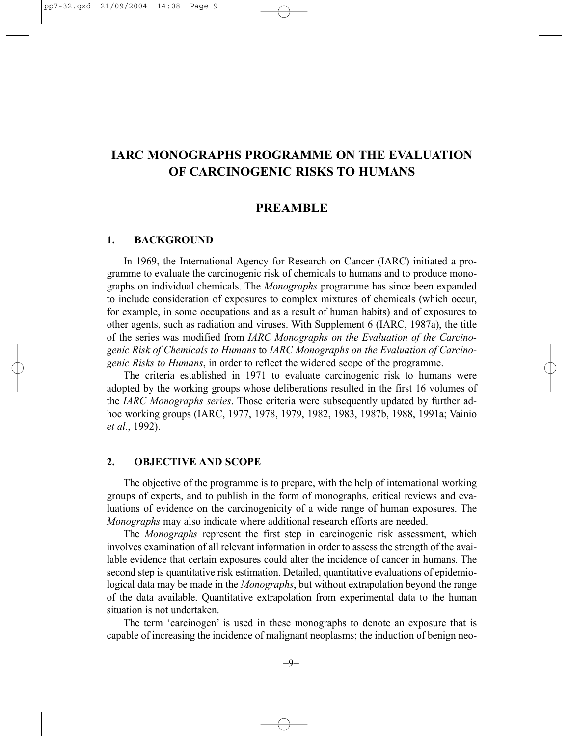## **IARC MONOGRAPHS PROGRAMME ON THE EVALUATION OF CARCINOGENIC RISKS TO HUMANS**

### **PREAMBLE**

### **1. BACKGROUND**

In 1969, the International Agency for Research on Cancer (IARC) initiated a programme to evaluate the carcinogenic risk of chemicals to humans and to produce monographs on individual chemicals. The *Monographs* programme has since been expanded to include consideration of exposures to complex mixtures of chemicals (which occur, for example, in some occupations and as a result of human habits) and of exposures to other agents, such as radiation and viruses. With Supplement 6 (IARC, 1987a), the title of the series was modified from *IARC Monographs on the Evaluation of the Carcinogenic Risk of Chemicals to Humans* to *IARC Monographs on the Evaluation of Carcinogenic Risks to Humans*, in order to reflect the widened scope of the programme.

The criteria established in 1971 to evaluate carcinogenic risk to humans were adopted by the working groups whose deliberations resulted in the first 16 volumes of the *IARC Monographs series*. Those criteria were subsequently updated by further adhoc working groups (IARC, 1977, 1978, 1979, 1982, 1983, 1987b, 1988, 1991a; Vainio *et al.*, 1992).

### **2. OBJECTIVE AND SCOPE**

The objective of the programme is to prepare, with the help of international working groups of experts, and to publish in the form of monographs, critical reviews and evaluations of evidence on the carcinogenicity of a wide range of human exposures. The *Monographs* may also indicate where additional research efforts are needed.

The *Monographs* represent the first step in carcinogenic risk assessment, which involves examination of all relevant information in order to assess the strength of the available evidence that certain exposures could alter the incidence of cancer in humans. The second step is quantitative risk estimation. Detailed, quantitative evaluations of epidemiological data may be made in the *Monographs*, but without extrapolation beyond the range of the data available. Quantitative extrapolation from experimental data to the human situation is not undertaken.

The term 'carcinogen' is used in these monographs to denote an exposure that is capable of increasing the incidence of malignant neoplasms; the induction of benign neo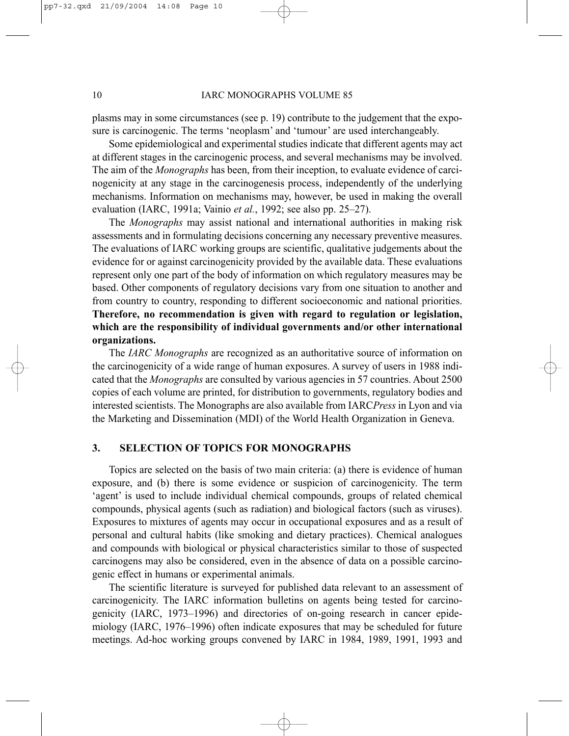plasms may in some circumstances (see p. 19) contribute to the judgement that the exposure is carcinogenic. The terms 'neoplasm' and 'tumour' are used interchangeably.

Some epidemiological and experimental studies indicate that different agents may act at different stages in the carcinogenic process, and several mechanisms may be involved. The aim of the *Monographs* has been, from their inception, to evaluate evidence of carcinogenicity at any stage in the carcinogenesis process, independently of the underlying mechanisms. Information on mechanisms may, however, be used in making the overall evaluation (IARC, 1991a; Vainio *et al.*, 1992; see also pp. 25–27).

The *Monographs* may assist national and international authorities in making risk assessments and in formulating decisions concerning any necessary preventive measures. The evaluations of IARC working groups are scientific, qualitative judgements about the evidence for or against carcinogenicity provided by the available data. These evaluations represent only one part of the body of information on which regulatory measures may be based. Other components of regulatory decisions vary from one situation to another and from country to country, responding to different socioeconomic and national priorities. **Therefore, no recommendation is given with regard to regulation or legislation, which are the responsibility of individual governments and/or other international organizations.**

The *IARC Monographs* are recognized as an authoritative source of information on the carcinogenicity of a wide range of human exposures. A survey of users in 1988 indicated that the *Monographs* are consulted by various agencies in 57 countries. About 2500 copies of each volume are printed, for distribution to governments, regulatory bodies and interested scientists. The Monographs are also available from IARC*Press* in Lyon and via the Marketing and Dissemination (MDI) of the World Health Organization in Geneva.

#### **3. SELECTION OF TOPICS FOR MONOGRAPHS**

Topics are selected on the basis of two main criteria: (a) there is evidence of human exposure, and (b) there is some evidence or suspicion of carcinogenicity. The term 'agent' is used to include individual chemical compounds, groups of related chemical compounds, physical agents (such as radiation) and biological factors (such as viruses). Exposures to mixtures of agents may occur in occupational exposures and as a result of personal and cultural habits (like smoking and dietary practices). Chemical analogues and compounds with biological or physical characteristics similar to those of suspected carcinogens may also be considered, even in the absence of data on a possible carcinogenic effect in humans or experimental animals.

The scientific literature is surveyed for published data relevant to an assessment of carcinogenicity. The IARC information bulletins on agents being tested for carcinogenicity (IARC, 1973–1996) and directories of on-going research in cancer epidemiology (IARC, 1976–1996) often indicate exposures that may be scheduled for future meetings. Ad-hoc working groups convened by IARC in 1984, 1989, 1991, 1993 and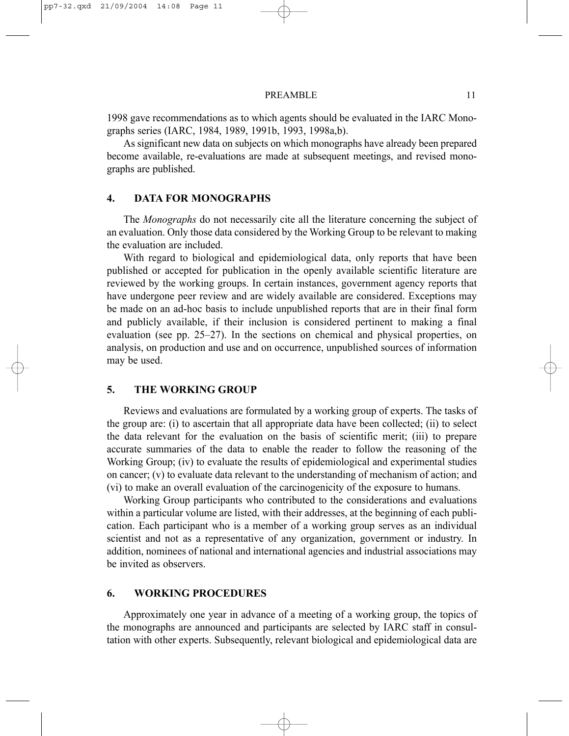1998 gave recommendations as to which agents should be evaluated in the IARC Monographs series (IARC, 1984, 1989, 1991b, 1993, 1998a,b).

As significant new data on subjects on which monographs have already been prepared become available, re-evaluations are made at subsequent meetings, and revised monographs are published.

### **4. DATA FOR MONOGRAPHS**

The *Monographs* do not necessarily cite all the literature concerning the subject of an evaluation. Only those data considered by the Working Group to be relevant to making the evaluation are included.

With regard to biological and epidemiological data, only reports that have been published or accepted for publication in the openly available scientific literature are reviewed by the working groups. In certain instances, government agency reports that have undergone peer review and are widely available are considered. Exceptions may be made on an ad-hoc basis to include unpublished reports that are in their final form and publicly available, if their inclusion is considered pertinent to making a final evaluation (see pp. 25–27). In the sections on chemical and physical properties, on analysis, on production and use and on occurrence, unpublished sources of information may be used.

### **5. THE WORKING GROUP**

Reviews and evaluations are formulated by a working group of experts. The tasks of the group are: (i) to ascertain that all appropriate data have been collected; (ii) to select the data relevant for the evaluation on the basis of scientific merit; (iii) to prepare accurate summaries of the data to enable the reader to follow the reasoning of the Working Group; (iv) to evaluate the results of epidemiological and experimental studies on cancer; (v) to evaluate data relevant to the understanding of mechanism of action; and (vi) to make an overall evaluation of the carcinogenicity of the exposure to humans.

Working Group participants who contributed to the considerations and evaluations within a particular volume are listed, with their addresses, at the beginning of each publication. Each participant who is a member of a working group serves as an individual scientist and not as a representative of any organization, government or industry. In addition, nominees of national and international agencies and industrial associations may be invited as observers.

### **6. WORKING PROCEDURES**

Approximately one year in advance of a meeting of a working group, the topics of the monographs are announced and participants are selected by IARC staff in consultation with other experts. Subsequently, relevant biological and epidemiological data are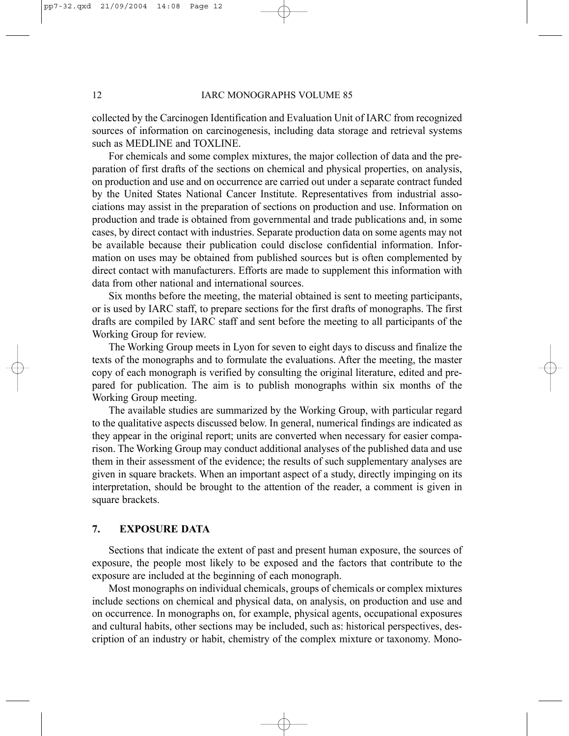collected by the Carcinogen Identification and Evaluation Unit of IARC from recognized sources of information on carcinogenesis, including data storage and retrieval systems such as MEDLINE and TOXLINE.

For chemicals and some complex mixtures, the major collection of data and the preparation of first drafts of the sections on chemical and physical properties, on analysis, on production and use and on occurrence are carried out under a separate contract funded by the United States National Cancer Institute. Representatives from industrial associations may assist in the preparation of sections on production and use. Information on production and trade is obtained from governmental and trade publications and, in some cases, by direct contact with industries. Separate production data on some agents may not be available because their publication could disclose confidential information. Information on uses may be obtained from published sources but is often complemented by direct contact with manufacturers. Efforts are made to supplement this information with data from other national and international sources.

Six months before the meeting, the material obtained is sent to meeting participants, or is used by IARC staff, to prepare sections for the first drafts of monographs. The first drafts are compiled by IARC staff and sent before the meeting to all participants of the Working Group for review.

The Working Group meets in Lyon for seven to eight days to discuss and finalize the texts of the monographs and to formulate the evaluations. After the meeting, the master copy of each monograph is verified by consulting the original literature, edited and prepared for publication. The aim is to publish monographs within six months of the Working Group meeting.

The available studies are summarized by the Working Group, with particular regard to the qualitative aspects discussed below. In general, numerical findings are indicated as they appear in the original report; units are converted when necessary for easier comparison. The Working Group may conduct additional analyses of the published data and use them in their assessment of the evidence; the results of such supplementary analyses are given in square brackets. When an important aspect of a study, directly impinging on its interpretation, should be brought to the attention of the reader, a comment is given in square brackets.

### **7. EXPOSURE DATA**

Sections that indicate the extent of past and present human exposure, the sources of exposure, the people most likely to be exposed and the factors that contribute to the exposure are included at the beginning of each monograph.

Most monographs on individual chemicals, groups of chemicals or complex mixtures include sections on chemical and physical data, on analysis, on production and use and on occurrence. In monographs on, for example, physical agents, occupational exposures and cultural habits, other sections may be included, such as: historical perspectives, description of an industry or habit, chemistry of the complex mixture or taxonomy. Mono-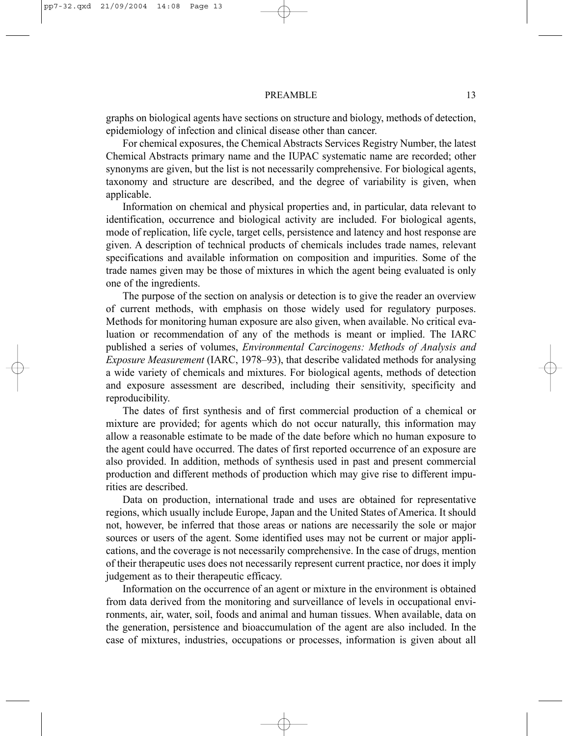graphs on biological agents have sections on structure and biology, methods of detection, epidemiology of infection and clinical disease other than cancer.

For chemical exposures, the Chemical Abstracts Services Registry Number, the latest Chemical Abstracts primary name and the IUPAC systematic name are recorded; other synonyms are given, but the list is not necessarily comprehensive. For biological agents, taxonomy and structure are described, and the degree of variability is given, when applicable.

Information on chemical and physical properties and, in particular, data relevant to identification, occurrence and biological activity are included. For biological agents, mode of replication, life cycle, target cells, persistence and latency and host response are given. A description of technical products of chemicals includes trade names, relevant specifications and available information on composition and impurities. Some of the trade names given may be those of mixtures in which the agent being evaluated is only one of the ingredients.

The purpose of the section on analysis or detection is to give the reader an overview of current methods, with emphasis on those widely used for regulatory purposes. Methods for monitoring human exposure are also given, when available. No critical evaluation or recommendation of any of the methods is meant or implied. The IARC published a series of volumes, *Environmental Carcinogens: Methods of Analysis and Exposure Measurement* (IARC, 1978–93), that describe validated methods for analysing a wide variety of chemicals and mixtures. For biological agents, methods of detection and exposure assessment are described, including their sensitivity, specificity and reproducibility.

The dates of first synthesis and of first commercial production of a chemical or mixture are provided; for agents which do not occur naturally, this information may allow a reasonable estimate to be made of the date before which no human exposure to the agent could have occurred. The dates of first reported occurrence of an exposure are also provided. In addition, methods of synthesis used in past and present commercial production and different methods of production which may give rise to different impurities are described.

Data on production, international trade and uses are obtained for representative regions, which usually include Europe, Japan and the United States of America. It should not, however, be inferred that those areas or nations are necessarily the sole or major sources or users of the agent. Some identified uses may not be current or major applications, and the coverage is not necessarily comprehensive. In the case of drugs, mention of their therapeutic uses does not necessarily represent current practice, nor does it imply judgement as to their therapeutic efficacy.

Information on the occurrence of an agent or mixture in the environment is obtained from data derived from the monitoring and surveillance of levels in occupational environments, air, water, soil, foods and animal and human tissues. When available, data on the generation, persistence and bioaccumulation of the agent are also included. In the case of mixtures, industries, occupations or processes, information is given about all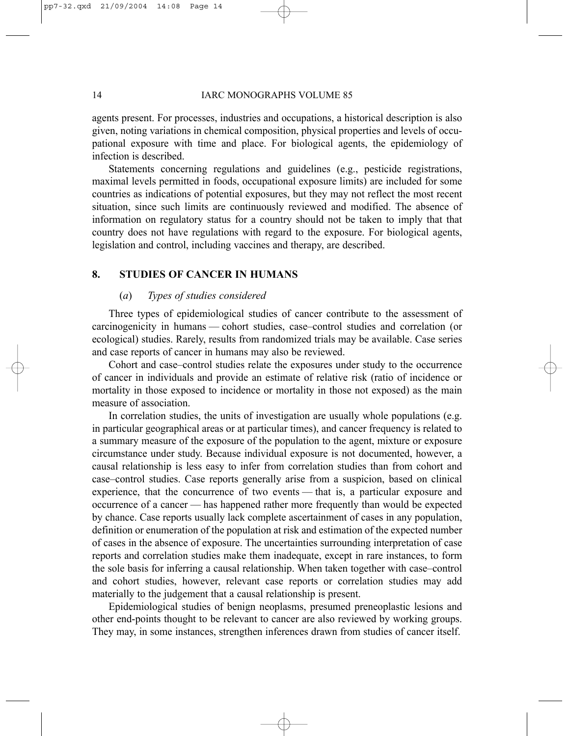agents present. For processes, industries and occupations, a historical description is also given, noting variations in chemical composition, physical properties and levels of occupational exposure with time and place. For biological agents, the epidemiology of infection is described.

Statements concerning regulations and guidelines (e.g., pesticide registrations, maximal levels permitted in foods, occupational exposure limits) are included for some countries as indications of potential exposures, but they may not reflect the most recent situation, since such limits are continuously reviewed and modified. The absence of information on regulatory status for a country should not be taken to imply that that country does not have regulations with regard to the exposure. For biological agents, legislation and control, including vaccines and therapy, are described.

### **8. STUDIES OF CANCER IN HUMANS**

### (*a*) *Types of studies considered*

Three types of epidemiological studies of cancer contribute to the assessment of carcinogenicity in humans — cohort studies, case–control studies and correlation (or ecological) studies. Rarely, results from randomized trials may be available. Case series and case reports of cancer in humans may also be reviewed.

Cohort and case–control studies relate the exposures under study to the occurrence of cancer in individuals and provide an estimate of relative risk (ratio of incidence or mortality in those exposed to incidence or mortality in those not exposed) as the main measure of association.

In correlation studies, the units of investigation are usually whole populations (e.g. in particular geographical areas or at particular times), and cancer frequency is related to a summary measure of the exposure of the population to the agent, mixture or exposure circumstance under study. Because individual exposure is not documented, however, a causal relationship is less easy to infer from correlation studies than from cohort and case–control studies. Case reports generally arise from a suspicion, based on clinical experience, that the concurrence of two events — that is, a particular exposure and occurrence of a cancer — has happened rather more frequently than would be expected by chance. Case reports usually lack complete ascertainment of cases in any population, definition or enumeration of the population at risk and estimation of the expected number of cases in the absence of exposure. The uncertainties surrounding interpretation of case reports and correlation studies make them inadequate, except in rare instances, to form the sole basis for inferring a causal relationship. When taken together with case–control and cohort studies, however, relevant case reports or correlation studies may add materially to the judgement that a causal relationship is present.

Epidemiological studies of benign neoplasms, presumed preneoplastic lesions and other end-points thought to be relevant to cancer are also reviewed by working groups. They may, in some instances, strengthen inferences drawn from studies of cancer itself.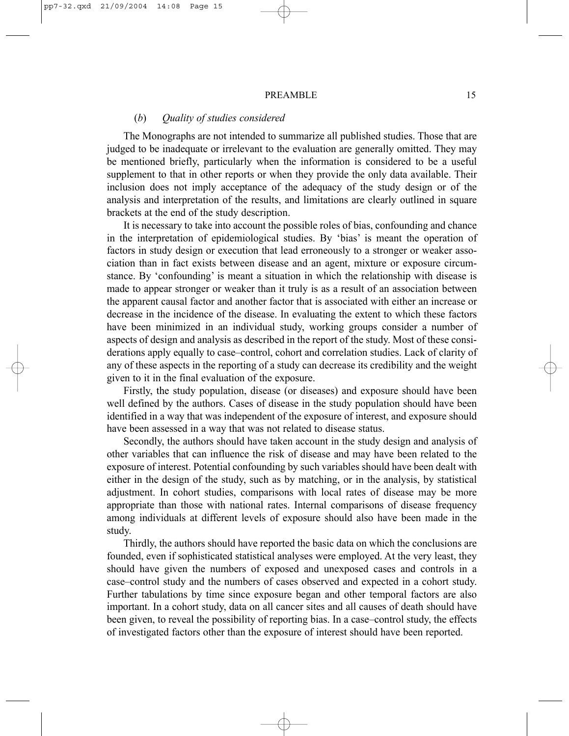#### (*b*) *Quality of studies considered*

The Monographs are not intended to summarize all published studies. Those that are judged to be inadequate or irrelevant to the evaluation are generally omitted. They may be mentioned briefly, particularly when the information is considered to be a useful supplement to that in other reports or when they provide the only data available. Their inclusion does not imply acceptance of the adequacy of the study design or of the analysis and interpretation of the results, and limitations are clearly outlined in square brackets at the end of the study description.

It is necessary to take into account the possible roles of bias, confounding and chance in the interpretation of epidemiological studies. By 'bias' is meant the operation of factors in study design or execution that lead erroneously to a stronger or weaker association than in fact exists between disease and an agent, mixture or exposure circumstance. By 'confounding' is meant a situation in which the relationship with disease is made to appear stronger or weaker than it truly is as a result of an association between the apparent causal factor and another factor that is associated with either an increase or decrease in the incidence of the disease. In evaluating the extent to which these factors have been minimized in an individual study, working groups consider a number of aspects of design and analysis as described in the report of the study. Most of these considerations apply equally to case–control, cohort and correlation studies. Lack of clarity of any of these aspects in the reporting of a study can decrease its credibility and the weight given to it in the final evaluation of the exposure.

Firstly, the study population, disease (or diseases) and exposure should have been well defined by the authors. Cases of disease in the study population should have been identified in a way that was independent of the exposure of interest, and exposure should have been assessed in a way that was not related to disease status.

Secondly, the authors should have taken account in the study design and analysis of other variables that can influence the risk of disease and may have been related to the exposure of interest. Potential confounding by such variables should have been dealt with either in the design of the study, such as by matching, or in the analysis, by statistical adjustment. In cohort studies, comparisons with local rates of disease may be more appropriate than those with national rates. Internal comparisons of disease frequency among individuals at different levels of exposure should also have been made in the study.

Thirdly, the authors should have reported the basic data on which the conclusions are founded, even if sophisticated statistical analyses were employed. At the very least, they should have given the numbers of exposed and unexposed cases and controls in a case–control study and the numbers of cases observed and expected in a cohort study. Further tabulations by time since exposure began and other temporal factors are also important. In a cohort study, data on all cancer sites and all causes of death should have been given, to reveal the possibility of reporting bias. In a case–control study, the effects of investigated factors other than the exposure of interest should have been reported.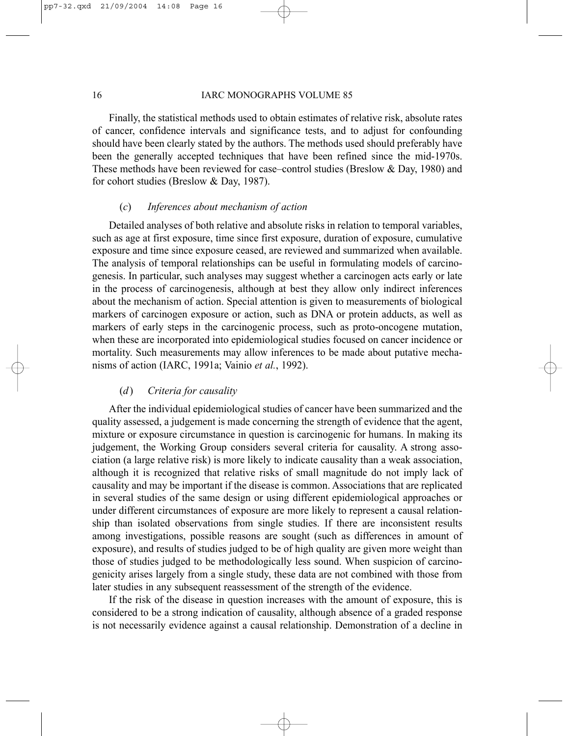#### 16 IARC MONOGRAPHS VOLUME 85

Finally, the statistical methods used to obtain estimates of relative risk, absolute rates of cancer, confidence intervals and significance tests, and to adjust for confounding should have been clearly stated by the authors. The methods used should preferably have been the generally accepted techniques that have been refined since the mid-1970s. These methods have been reviewed for case–control studies (Breslow  $\&$  Day, 1980) and for cohort studies (Breslow & Day, 1987).

#### (*c*) *Inferences about mechanism of action*

Detailed analyses of both relative and absolute risks in relation to temporal variables, such as age at first exposure, time since first exposure, duration of exposure, cumulative exposure and time since exposure ceased, are reviewed and summarized when available. The analysis of temporal relationships can be useful in formulating models of carcinogenesis. In particular, such analyses may suggest whether a carcinogen acts early or late in the process of carcinogenesis, although at best they allow only indirect inferences about the mechanism of action. Special attention is given to measurements of biological markers of carcinogen exposure or action, such as DNA or protein adducts, as well as markers of early steps in the carcinogenic process, such as proto-oncogene mutation, when these are incorporated into epidemiological studies focused on cancer incidence or mortality. Such measurements may allow inferences to be made about putative mechanisms of action (IARC, 1991a; Vainio *et al.*, 1992).

### (*d* ) *Criteria for causality*

After the individual epidemiological studies of cancer have been summarized and the quality assessed, a judgement is made concerning the strength of evidence that the agent, mixture or exposure circumstance in question is carcinogenic for humans. In making its judgement, the Working Group considers several criteria for causality. A strong association (a large relative risk) is more likely to indicate causality than a weak association, although it is recognized that relative risks of small magnitude do not imply lack of causality and may be important if the disease is common. Associations that are replicated in several studies of the same design or using different epidemiological approaches or under different circumstances of exposure are more likely to represent a causal relationship than isolated observations from single studies. If there are inconsistent results among investigations, possible reasons are sought (such as differences in amount of exposure), and results of studies judged to be of high quality are given more weight than those of studies judged to be methodologically less sound. When suspicion of carcinogenicity arises largely from a single study, these data are not combined with those from later studies in any subsequent reassessment of the strength of the evidence.

If the risk of the disease in question increases with the amount of exposure, this is considered to be a strong indication of causality, although absence of a graded response is not necessarily evidence against a causal relationship. Demonstration of a decline in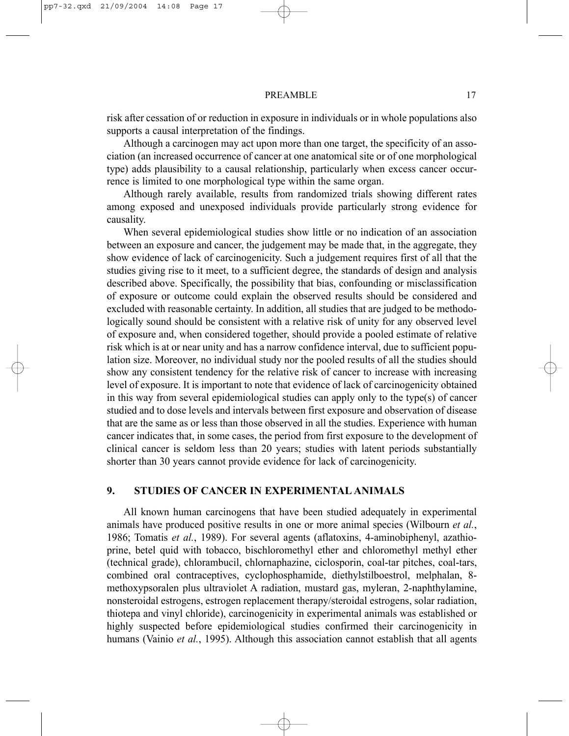risk after cessation of or reduction in exposure in individuals or in whole populations also supports a causal interpretation of the findings.

Although a carcinogen may act upon more than one target, the specificity of an association (an increased occurrence of cancer at one anatomical site or of one morphological type) adds plausibility to a causal relationship, particularly when excess cancer occurrence is limited to one morphological type within the same organ.

Although rarely available, results from randomized trials showing different rates among exposed and unexposed individuals provide particularly strong evidence for causality.

When several epidemiological studies show little or no indication of an association between an exposure and cancer, the judgement may be made that, in the aggregate, they show evidence of lack of carcinogenicity. Such a judgement requires first of all that the studies giving rise to it meet, to a sufficient degree, the standards of design and analysis described above. Specifically, the possibility that bias, confounding or misclassification of exposure or outcome could explain the observed results should be considered and excluded with reasonable certainty. In addition, all studies that are judged to be methodologically sound should be consistent with a relative risk of unity for any observed level of exposure and, when considered together, should provide a pooled estimate of relative risk which is at or near unity and has a narrow confidence interval, due to sufficient population size. Moreover, no individual study nor the pooled results of all the studies should show any consistent tendency for the relative risk of cancer to increase with increasing level of exposure. It is important to note that evidence of lack of carcinogenicity obtained in this way from several epidemiological studies can apply only to the type(s) of cancer studied and to dose levels and intervals between first exposure and observation of disease that are the same as or less than those observed in all the studies. Experience with human cancer indicates that, in some cases, the period from first exposure to the development of clinical cancer is seldom less than 20 years; studies with latent periods substantially shorter than 30 years cannot provide evidence for lack of carcinogenicity.

### **9. STUDIES OF CANCER IN EXPERIMENTAL ANIMALS**

All known human carcinogens that have been studied adequately in experimental animals have produced positive results in one or more animal species (Wilbourn *et al.*, 1986; Tomatis *et al.*, 1989). For several agents (aflatoxins, 4-aminobiphenyl, azathioprine, betel quid with tobacco, bischloromethyl ether and chloromethyl methyl ether (technical grade), chlorambucil, chlornaphazine, ciclosporin, coal-tar pitches, coal-tars, combined oral contraceptives, cyclophosphamide, diethylstilboestrol, melphalan, 8 methoxypsoralen plus ultraviolet A radiation, mustard gas, myleran, 2-naphthylamine, nonsteroidal estrogens, estrogen replacement therapy/steroidal estrogens, solar radiation, thiotepa and vinyl chloride), carcinogenicity in experimental animals was established or highly suspected before epidemiological studies confirmed their carcinogenicity in humans (Vainio *et al.*, 1995). Although this association cannot establish that all agents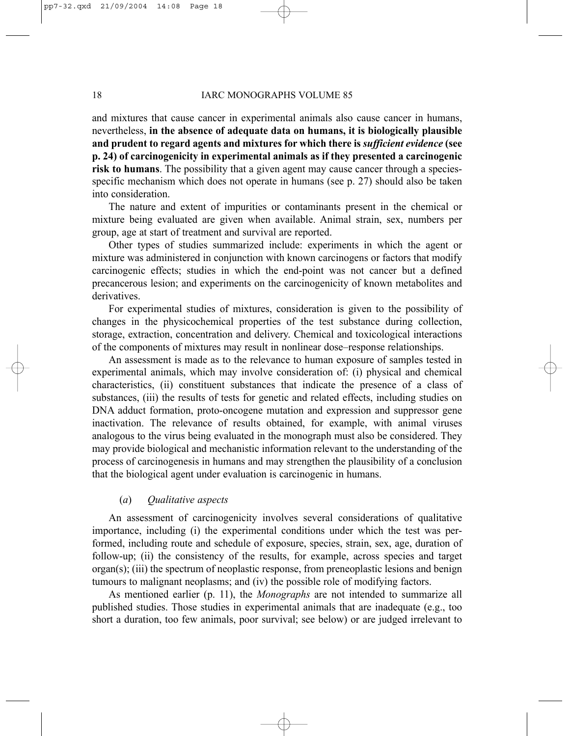and mixtures that cause cancer in experimental animals also cause cancer in humans, nevertheless, **in the absence of adequate data on humans, it is biologically plausible and prudent to regard agents and mixtures for which there is** *sufficient evidence* **(see p. 24) of carcinogenicity in experimental animals as if they presented a carcinogenic risk to humans**. The possibility that a given agent may cause cancer through a speciesspecific mechanism which does not operate in humans (see p. 27) should also be taken into consideration.

The nature and extent of impurities or contaminants present in the chemical or mixture being evaluated are given when available. Animal strain, sex, numbers per group, age at start of treatment and survival are reported.

Other types of studies summarized include: experiments in which the agent or mixture was administered in conjunction with known carcinogens or factors that modify carcinogenic effects; studies in which the end-point was not cancer but a defined precancerous lesion; and experiments on the carcinogenicity of known metabolites and derivatives.

For experimental studies of mixtures, consideration is given to the possibility of changes in the physicochemical properties of the test substance during collection, storage, extraction, concentration and delivery. Chemical and toxicological interactions of the components of mixtures may result in nonlinear dose–response relationships.

An assessment is made as to the relevance to human exposure of samples tested in experimental animals, which may involve consideration of: (i) physical and chemical characteristics, (ii) constituent substances that indicate the presence of a class of substances, (iii) the results of tests for genetic and related effects, including studies on DNA adduct formation, proto-oncogene mutation and expression and suppressor gene inactivation. The relevance of results obtained, for example, with animal viruses analogous to the virus being evaluated in the monograph must also be considered. They may provide biological and mechanistic information relevant to the understanding of the process of carcinogenesis in humans and may strengthen the plausibility of a conclusion that the biological agent under evaluation is carcinogenic in humans.

#### (*a*) *Qualitative aspects*

An assessment of carcinogenicity involves several considerations of qualitative importance, including (i) the experimental conditions under which the test was performed, including route and schedule of exposure, species, strain, sex, age, duration of follow-up; (ii) the consistency of the results, for example, across species and target organ(s); (iii) the spectrum of neoplastic response, from preneoplastic lesions and benign tumours to malignant neoplasms; and (iv) the possible role of modifying factors.

As mentioned earlier (p. 11), the *Monographs* are not intended to summarize all published studies. Those studies in experimental animals that are inadequate (e.g., too short a duration, too few animals, poor survival; see below) or are judged irrelevant to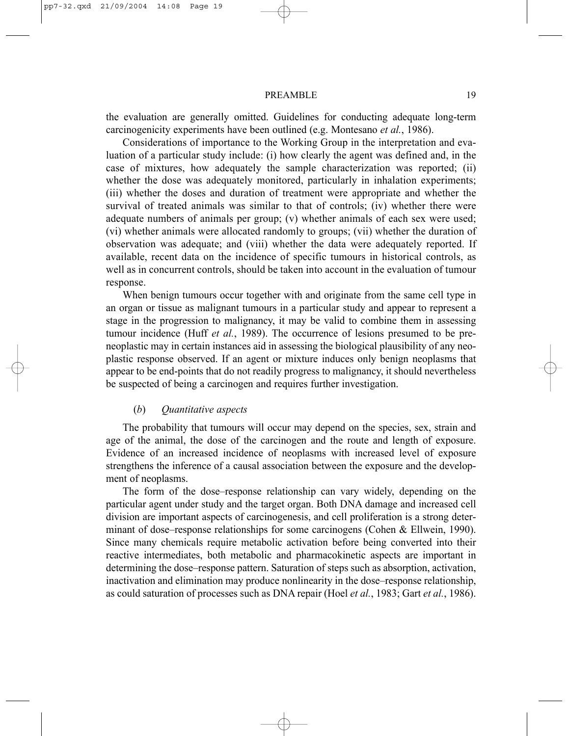the evaluation are generally omitted. Guidelines for conducting adequate long-term carcinogenicity experiments have been outlined (e.g. Montesano *et al.*, 1986).

Considerations of importance to the Working Group in the interpretation and evaluation of a particular study include: (i) how clearly the agent was defined and, in the case of mixtures, how adequately the sample characterization was reported; (ii) whether the dose was adequately monitored, particularly in inhalation experiments; (iii) whether the doses and duration of treatment were appropriate and whether the survival of treated animals was similar to that of controls; (iv) whether there were adequate numbers of animals per group; (v) whether animals of each sex were used; (vi) whether animals were allocated randomly to groups; (vii) whether the duration of observation was adequate; and (viii) whether the data were adequately reported. If available, recent data on the incidence of specific tumours in historical controls, as well as in concurrent controls, should be taken into account in the evaluation of tumour response.

When benign tumours occur together with and originate from the same cell type in an organ or tissue as malignant tumours in a particular study and appear to represent a stage in the progression to malignancy, it may be valid to combine them in assessing tumour incidence (Huff *et al.*, 1989). The occurrence of lesions presumed to be preneoplastic may in certain instances aid in assessing the biological plausibility of any neoplastic response observed. If an agent or mixture induces only benign neoplasms that appear to be end-points that do not readily progress to malignancy, it should nevertheless be suspected of being a carcinogen and requires further investigation.

#### (*b*) *Quantitative aspects*

The probability that tumours will occur may depend on the species, sex, strain and age of the animal, the dose of the carcinogen and the route and length of exposure. Evidence of an increased incidence of neoplasms with increased level of exposure strengthens the inference of a causal association between the exposure and the development of neoplasms.

The form of the dose–response relationship can vary widely, depending on the particular agent under study and the target organ. Both DNA damage and increased cell division are important aspects of carcinogenesis, and cell proliferation is a strong determinant of dose–response relationships for some carcinogens (Cohen & Ellwein, 1990). Since many chemicals require metabolic activation before being converted into their reactive intermediates, both metabolic and pharmacokinetic aspects are important in determining the dose–response pattern. Saturation of steps such as absorption, activation, inactivation and elimination may produce nonlinearity in the dose–response relationship, as could saturation of processes such as DNA repair (Hoel *et al.*, 1983; Gart *et al.*, 1986).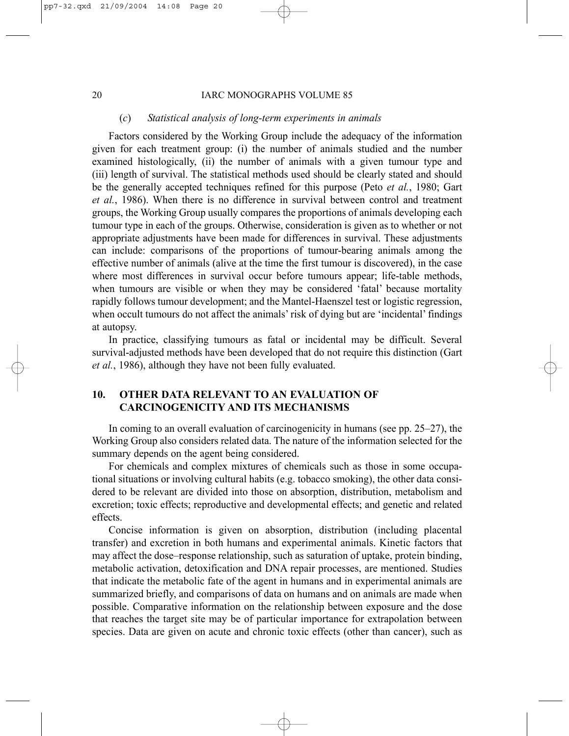#### 20 IARC MONOGRAPHS VOLUME 85

#### (*c*) *Statistical analysis of long-term experiments in animals*

Factors considered by the Working Group include the adequacy of the information given for each treatment group: (i) the number of animals studied and the number examined histologically, (ii) the number of animals with a given tumour type and (iii) length of survival. The statistical methods used should be clearly stated and should be the generally accepted techniques refined for this purpose (Peto *et al.*, 1980; Gart *et al.*, 1986). When there is no difference in survival between control and treatment groups, the Working Group usually compares the proportions of animals developing each tumour type in each of the groups. Otherwise, consideration is given as to whether or not appropriate adjustments have been made for differences in survival. These adjustments can include: comparisons of the proportions of tumour-bearing animals among the effective number of animals (alive at the time the first tumour is discovered), in the case where most differences in survival occur before tumours appear; life-table methods, when tumours are visible or when they may be considered 'fatal' because mortality rapidly follows tumour development; and the Mantel-Haenszel test or logistic regression, when occult tumours do not affect the animals' risk of dying but are 'incidental' findings at autopsy.

In practice, classifying tumours as fatal or incidental may be difficult. Several survival-adjusted methods have been developed that do not require this distinction (Gart *et al.*, 1986), although they have not been fully evaluated.

### **10. OTHER DATA RELEVANT TO AN EVALUATION OF CARCINOGENICITY AND ITS MECHANISMS**

In coming to an overall evaluation of carcinogenicity in humans (see pp. 25–27), the Working Group also considers related data. The nature of the information selected for the summary depends on the agent being considered.

For chemicals and complex mixtures of chemicals such as those in some occupational situations or involving cultural habits (e.g. tobacco smoking), the other data considered to be relevant are divided into those on absorption, distribution, metabolism and excretion; toxic effects; reproductive and developmental effects; and genetic and related effects.

Concise information is given on absorption, distribution (including placental transfer) and excretion in both humans and experimental animals. Kinetic factors that may affect the dose–response relationship, such as saturation of uptake, protein binding, metabolic activation, detoxification and DNA repair processes, are mentioned. Studies that indicate the metabolic fate of the agent in humans and in experimental animals are summarized briefly, and comparisons of data on humans and on animals are made when possible. Comparative information on the relationship between exposure and the dose that reaches the target site may be of particular importance for extrapolation between species. Data are given on acute and chronic toxic effects (other than cancer), such as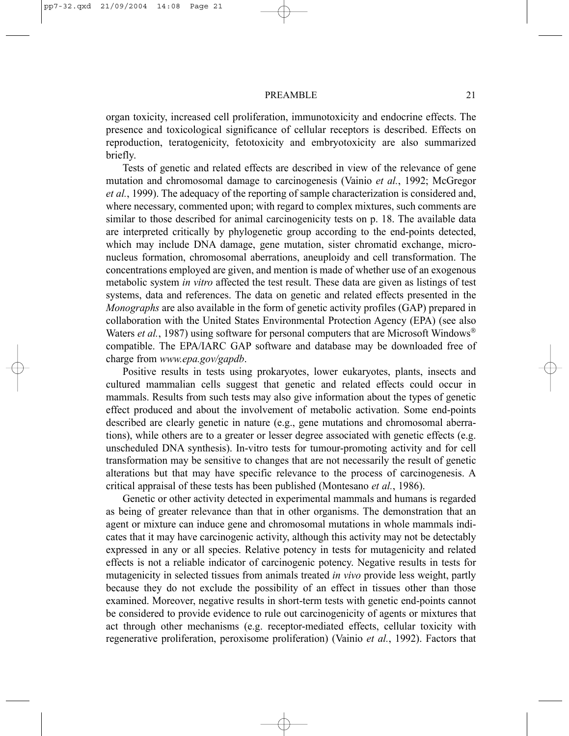organ toxicity, increased cell proliferation, immunotoxicity and endocrine effects. The presence and toxicological significance of cellular receptors is described. Effects on reproduction, teratogenicity, fetotoxicity and embryotoxicity are also summarized briefly.

Tests of genetic and related effects are described in view of the relevance of gene mutation and chromosomal damage to carcinogenesis (Vainio *et al.*, 1992; McGregor *et al.*, 1999). The adequacy of the reporting of sample characterization is considered and, where necessary, commented upon; with regard to complex mixtures, such comments are similar to those described for animal carcinogenicity tests on p. 18. The available data are interpreted critically by phylogenetic group according to the end-points detected, which may include DNA damage, gene mutation, sister chromatid exchange, micronucleus formation, chromosomal aberrations, aneuploidy and cell transformation. The concentrations employed are given, and mention is made of whether use of an exogenous metabolic system *in vitro* affected the test result. These data are given as listings of test systems, data and references. The data on genetic and related effects presented in the *Monographs* are also available in the form of genetic activity profiles (GAP) prepared in collaboration with the United States Environmental Protection Agency (EPA) (see also Waters *et al.*, 1987) using software for personal computers that are Microsoft Windows<sup>®</sup> compatible. The EPA/IARC GAP software and database may be downloaded free of charge from *www.epa.gov/gapdb*.

Positive results in tests using prokaryotes, lower eukaryotes, plants, insects and cultured mammalian cells suggest that genetic and related effects could occur in mammals. Results from such tests may also give information about the types of genetic effect produced and about the involvement of metabolic activation. Some end-points described are clearly genetic in nature (e.g., gene mutations and chromosomal aberrations), while others are to a greater or lesser degree associated with genetic effects (e.g. unscheduled DNA synthesis). In-vitro tests for tumour-promoting activity and for cell transformation may be sensitive to changes that are not necessarily the result of genetic alterations but that may have specific relevance to the process of carcinogenesis. A critical appraisal of these tests has been published (Montesano *et al.*, 1986).

Genetic or other activity detected in experimental mammals and humans is regarded as being of greater relevance than that in other organisms. The demonstration that an agent or mixture can induce gene and chromosomal mutations in whole mammals indicates that it may have carcinogenic activity, although this activity may not be detectably expressed in any or all species. Relative potency in tests for mutagenicity and related effects is not a reliable indicator of carcinogenic potency. Negative results in tests for mutagenicity in selected tissues from animals treated *in vivo* provide less weight, partly because they do not exclude the possibility of an effect in tissues other than those examined. Moreover, negative results in short-term tests with genetic end-points cannot be considered to provide evidence to rule out carcinogenicity of agents or mixtures that act through other mechanisms (e.g. receptor-mediated effects, cellular toxicity with regenerative proliferation, peroxisome proliferation) (Vainio *et al.*, 1992). Factors that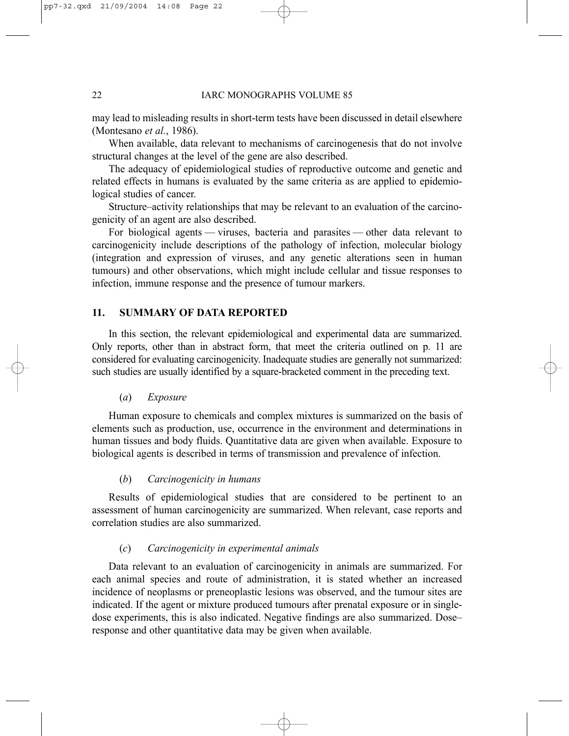may lead to misleading results in short-term tests have been discussed in detail elsewhere (Montesano *et al.*, 1986).

When available, data relevant to mechanisms of carcinogenesis that do not involve structural changes at the level of the gene are also described.

The adequacy of epidemiological studies of reproductive outcome and genetic and related effects in humans is evaluated by the same criteria as are applied to epidemiological studies of cancer.

Structure–activity relationships that may be relevant to an evaluation of the carcinogenicity of an agent are also described.

For biological agents — viruses, bacteria and parasites — other data relevant to carcinogenicity include descriptions of the pathology of infection, molecular biology (integration and expression of viruses, and any genetic alterations seen in human tumours) and other observations, which might include cellular and tissue responses to infection, immune response and the presence of tumour markers.

### **11. SUMMARY OF DATA REPORTED**

In this section, the relevant epidemiological and experimental data are summarized. Only reports, other than in abstract form, that meet the criteria outlined on p. 11 are considered for evaluating carcinogenicity. Inadequate studies are generally not summarized: such studies are usually identified by a square-bracketed comment in the preceding text.

(*a*) *Exposure*

Human exposure to chemicals and complex mixtures is summarized on the basis of elements such as production, use, occurrence in the environment and determinations in human tissues and body fluids. Quantitative data are given when available. Exposure to biological agents is described in terms of transmission and prevalence of infection.

#### (*b*) *Carcinogenicity in humans*

Results of epidemiological studies that are considered to be pertinent to an assessment of human carcinogenicity are summarized. When relevant, case reports and correlation studies are also summarized.

#### (*c*) *Carcinogenicity in experimental animals*

Data relevant to an evaluation of carcinogenicity in animals are summarized. For each animal species and route of administration, it is stated whether an increased incidence of neoplasms or preneoplastic lesions was observed, and the tumour sites are indicated. If the agent or mixture produced tumours after prenatal exposure or in singledose experiments, this is also indicated. Negative findings are also summarized. Dose– response and other quantitative data may be given when available.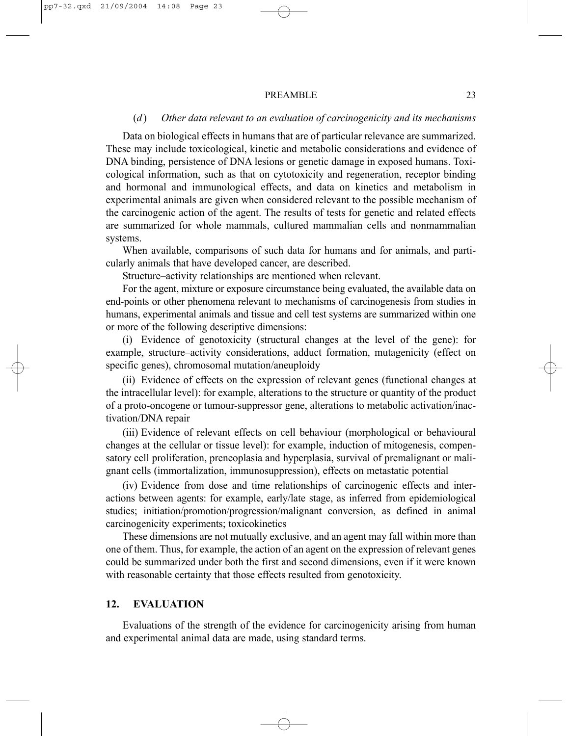### (*d*) *Other data relevant to an evaluation of carcinogenicity and its mechanisms*

Data on biological effects in humans that are of particular relevance are summarized. These may include toxicological, kinetic and metabolic considerations and evidence of DNA binding, persistence of DNA lesions or genetic damage in exposed humans. Toxicological information, such as that on cytotoxicity and regeneration, receptor binding and hormonal and immunological effects, and data on kinetics and metabolism in experimental animals are given when considered relevant to the possible mechanism of the carcinogenic action of the agent. The results of tests for genetic and related effects are summarized for whole mammals, cultured mammalian cells and nonmammalian systems.

When available, comparisons of such data for humans and for animals, and particularly animals that have developed cancer, are described.

Structure–activity relationships are mentioned when relevant.

For the agent, mixture or exposure circumstance being evaluated, the available data on end-points or other phenomena relevant to mechanisms of carcinogenesis from studies in humans, experimental animals and tissue and cell test systems are summarized within one or more of the following descriptive dimensions:

(i) Evidence of genotoxicity (structural changes at the level of the gene): for example, structure–activity considerations, adduct formation, mutagenicity (effect on specific genes), chromosomal mutation/aneuploidy

(ii) Evidence of effects on the expression of relevant genes (functional changes at the intracellular level): for example, alterations to the structure or quantity of the product of a proto-oncogene or tumour-suppressor gene, alterations to metabolic activation/inactivation/DNA repair

(iii) Evidence of relevant effects on cell behaviour (morphological or behavioural changes at the cellular or tissue level): for example, induction of mitogenesis, compensatory cell proliferation, preneoplasia and hyperplasia, survival of premalignant or malignant cells (immortalization, immunosuppression), effects on metastatic potential

(iv) Evidence from dose and time relationships of carcinogenic effects and interactions between agents: for example, early/late stage, as inferred from epidemiological studies; initiation/promotion/progression/malignant conversion, as defined in animal carcinogenicity experiments; toxicokinetics

These dimensions are not mutually exclusive, and an agent may fall within more than one of them. Thus, for example, the action of an agent on the expression of relevant genes could be summarized under both the first and second dimensions, even if it were known with reasonable certainty that those effects resulted from genotoxicity.

### **12. EVALUATION**

Evaluations of the strength of the evidence for carcinogenicity arising from human and experimental animal data are made, using standard terms.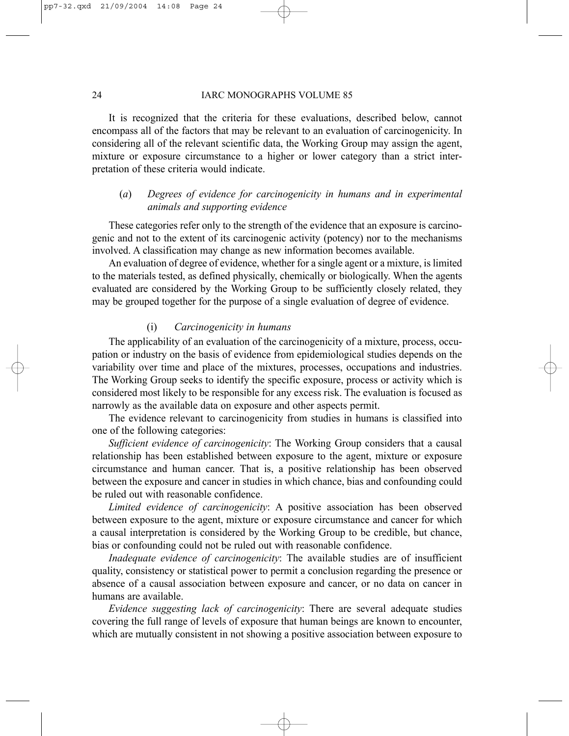#### 24 IARC MONOGRAPHS VOLUME 85

It is recognized that the criteria for these evaluations, described below, cannot encompass all of the factors that may be relevant to an evaluation of carcinogenicity. In considering all of the relevant scientific data, the Working Group may assign the agent, mixture or exposure circumstance to a higher or lower category than a strict interpretation of these criteria would indicate.

### (*a*) *Degrees of evidence for carcinogenicity in humans and in experimental animals and supporting evidence*

These categories refer only to the strength of the evidence that an exposure is carcinogenic and not to the extent of its carcinogenic activity (potency) nor to the mechanisms involved. A classification may change as new information becomes available.

An evaluation of degree of evidence, whether for a single agent or a mixture, is limited to the materials tested, as defined physically, chemically or biologically. When the agents evaluated are considered by the Working Group to be sufficiently closely related, they may be grouped together for the purpose of a single evaluation of degree of evidence.

### (i) *Carcinogenicity in humans*

The applicability of an evaluation of the carcinogenicity of a mixture, process, occupation or industry on the basis of evidence from epidemiological studies depends on the variability over time and place of the mixtures, processes, occupations and industries. The Working Group seeks to identify the specific exposure, process or activity which is considered most likely to be responsible for any excess risk. The evaluation is focused as narrowly as the available data on exposure and other aspects permit.

The evidence relevant to carcinogenicity from studies in humans is classified into one of the following categories:

*Sufficient evidence of carcinogenicity*: The Working Group considers that a causal relationship has been established between exposure to the agent, mixture or exposure circumstance and human cancer. That is, a positive relationship has been observed between the exposure and cancer in studies in which chance, bias and confounding could be ruled out with reasonable confidence.

*Limited evidence of carcinogenicity*: A positive association has been observed between exposure to the agent, mixture or exposure circumstance and cancer for which a causal interpretation is considered by the Working Group to be credible, but chance, bias or confounding could not be ruled out with reasonable confidence.

*Inadequate evidence of carcinogenicity*: The available studies are of insufficient quality, consistency or statistical power to permit a conclusion regarding the presence or absence of a causal association between exposure and cancer, or no data on cancer in humans are available.

*Evidence suggesting lack of carcinogenicity*: There are several adequate studies covering the full range of levels of exposure that human beings are known to encounter, which are mutually consistent in not showing a positive association between exposure to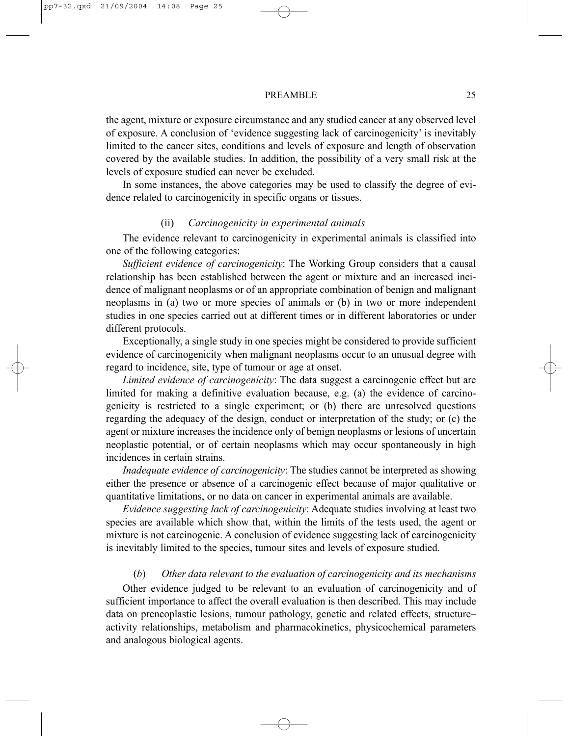the agent, mixture or exposure circumstance and any studied cancer at any observed level of exposure. A conclusion of 'evidence suggesting lack of carcinogenicity' is inevitably limited to the cancer sites, conditions and levels of exposure and length of observation covered by the available studies. In addition, the possibility of a very small risk at the levels of exposure studied can never be excluded.

In some instances, the above categories may be used to classify the degree of evidence related to carcinogenicity in specific organs or tissues.

### (ii) *Carcinogenicity in experimental animals*

The evidence relevant to carcinogenicity in experimental animals is classified into one of the following categories:

*Sufficient evidence of carcinogenicity*: The Working Group considers that a causal relationship has been established between the agent or mixture and an increased incidence of malignant neoplasms or of an appropriate combination of benign and malignant neoplasms in (a) two or more species of animals or (b) in two or more independent studies in one species carried out at different times or in different laboratories or under different protocols.

Exceptionally, a single study in one species might be considered to provide sufficient evidence of carcinogenicity when malignant neoplasms occur to an unusual degree with regard to incidence, site, type of tumour or age at onset.

*Limited evidence of carcinogenicity*: The data suggest a carcinogenic effect but are limited for making a definitive evaluation because, e.g. (a) the evidence of carcinogenicity is restricted to a single experiment; or (b) there are unresolved questions regarding the adequacy of the design, conduct or interpretation of the study; or (c) the agent or mixture increases the incidence only of benign neoplasms or lesions of uncertain neoplastic potential, or of certain neoplasms which may occur spontaneously in high incidences in certain strains.

*Inadequate evidence of carcinogenicity*: The studies cannot be interpreted as showing either the presence or absence of a carcinogenic effect because of major qualitative or quantitative limitations, or no data on cancer in experimental animals are available.

*Evidence suggesting lack of carcinogenicity*: Adequate studies involving at least two species are available which show that, within the limits of the tests used, the agent or mixture is not carcinogenic. A conclusion of evidence suggesting lack of carcinogenicity is inevitably limited to the species, tumour sites and levels of exposure studied.

### (*b*) *Other data relevant to the evaluation of carcinogenicity and its mechanisms*

Other evidence judged to be relevant to an evaluation of carcinogenicity and of sufficient importance to affect the overall evaluation is then described. This may include data on preneoplastic lesions, tumour pathology, genetic and related effects, structure– activity relationships, metabolism and pharmacokinetics, physicochemical parameters and analogous biological agents.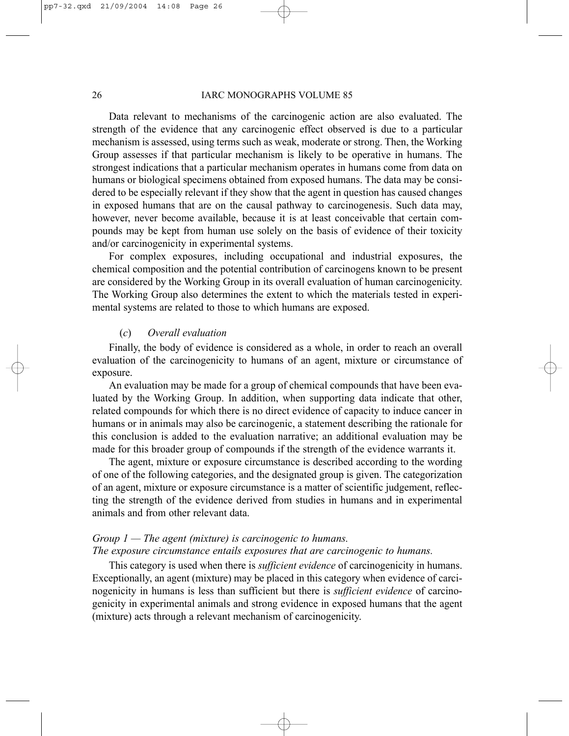#### 26 IARC MONOGRAPHS VOLUME 85

Data relevant to mechanisms of the carcinogenic action are also evaluated. The strength of the evidence that any carcinogenic effect observed is due to a particular mechanism is assessed, using terms such as weak, moderate or strong. Then, the Working Group assesses if that particular mechanism is likely to be operative in humans. The strongest indications that a particular mechanism operates in humans come from data on humans or biological specimens obtained from exposed humans. The data may be considered to be especially relevant if they show that the agent in question has caused changes in exposed humans that are on the causal pathway to carcinogenesis. Such data may, however, never become available, because it is at least conceivable that certain compounds may be kept from human use solely on the basis of evidence of their toxicity and/or carcinogenicity in experimental systems.

For complex exposures, including occupational and industrial exposures, the chemical composition and the potential contribution of carcinogens known to be present are considered by the Working Group in its overall evaluation of human carcinogenicity. The Working Group also determines the extent to which the materials tested in experimental systems are related to those to which humans are exposed.

### (*c*) *Overall evaluation*

Finally, the body of evidence is considered as a whole, in order to reach an overall evaluation of the carcinogenicity to humans of an agent, mixture or circumstance of exposure.

An evaluation may be made for a group of chemical compounds that have been evaluated by the Working Group. In addition, when supporting data indicate that other, related compounds for which there is no direct evidence of capacity to induce cancer in humans or in animals may also be carcinogenic, a statement describing the rationale for this conclusion is added to the evaluation narrative; an additional evaluation may be made for this broader group of compounds if the strength of the evidence warrants it.

The agent, mixture or exposure circumstance is described according to the wording of one of the following categories, and the designated group is given. The categorization of an agent, mixture or exposure circumstance is a matter of scientific judgement, reflecting the strength of the evidence derived from studies in humans and in experimental animals and from other relevant data.

### *Group 1 — The agent (mixture) is carcinogenic to humans. The exposure circumstance entails exposures that are carcinogenic to humans.*

This category is used when there is *sufficient evidence* of carcinogenicity in humans. Exceptionally, an agent (mixture) may be placed in this category when evidence of carcinogenicity in humans is less than sufficient but there is *sufficient evidence* of carcinogenicity in experimental animals and strong evidence in exposed humans that the agent (mixture) acts through a relevant mechanism of carcinogenicity.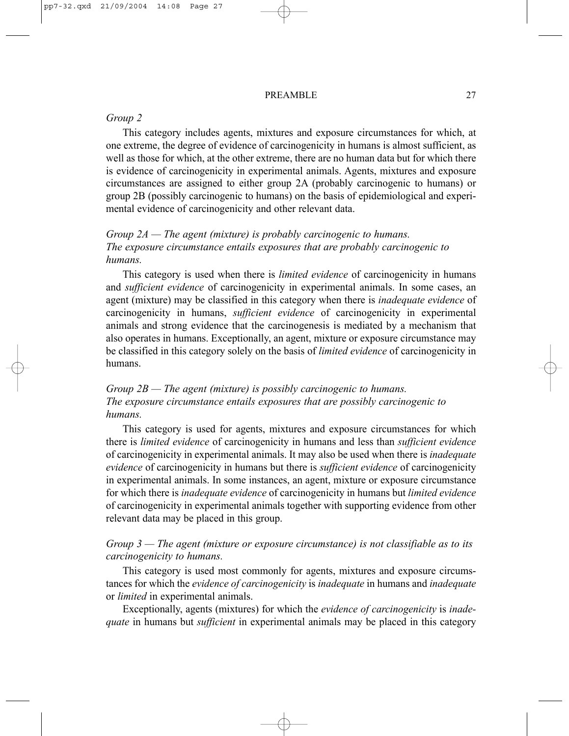### *Group 2*

This category includes agents, mixtures and exposure circumstances for which, at one extreme, the degree of evidence of carcinogenicity in humans is almost sufficient, as well as those for which, at the other extreme, there are no human data but for which there is evidence of carcinogenicity in experimental animals. Agents, mixtures and exposure circumstances are assigned to either group 2A (probably carcinogenic to humans) or group 2B (possibly carcinogenic to humans) on the basis of epidemiological and experimental evidence of carcinogenicity and other relevant data.

### *Group 2A — The agent (mixture) is probably carcinogenic to humans. The exposure circumstance entails exposures that are probably carcinogenic to humans.*

This category is used when there is *limited evidence* of carcinogenicity in humans and *sufficient evidence* of carcinogenicity in experimental animals. In some cases, an agent (mixture) may be classified in this category when there is *inadequate evidence* of carcinogenicity in humans, *sufficient evidence* of carcinogenicity in experimental animals and strong evidence that the carcinogenesis is mediated by a mechanism that also operates in humans. Exceptionally, an agent, mixture or exposure circumstance may be classified in this category solely on the basis of *limited evidence* of carcinogenicity in humans.

### *Group 2B — The agent (mixture) is possibly carcinogenic to humans. The exposure circumstance entails exposures that are possibly carcinogenic to humans.*

This category is used for agents, mixtures and exposure circumstances for which there is *limited evidence* of carcinogenicity in humans and less than *sufficient evidence* of carcinogenicity in experimental animals. It may also be used when there is *inadequate evidence* of carcinogenicity in humans but there is *sufficient evidence* of carcinogenicity in experimental animals. In some instances, an agent, mixture or exposure circumstance for which there is *inadequate evidence* of carcinogenicity in humans but *limited evidence* of carcinogenicity in experimental animals together with supporting evidence from other relevant data may be placed in this group.

### *Group 3 — The agent (mixture or exposure circumstance) is not classifiable as to its carcinogenicity to humans.*

This category is used most commonly for agents, mixtures and exposure circumstances for which the *evidence of carcinogenicity* is *inadequate* in humans and *inadequate* or *limited* in experimental animals.

Exceptionally, agents (mixtures) for which the *evidence of carcinogenicity* is *inadequate* in humans but *sufficient* in experimental animals may be placed in this category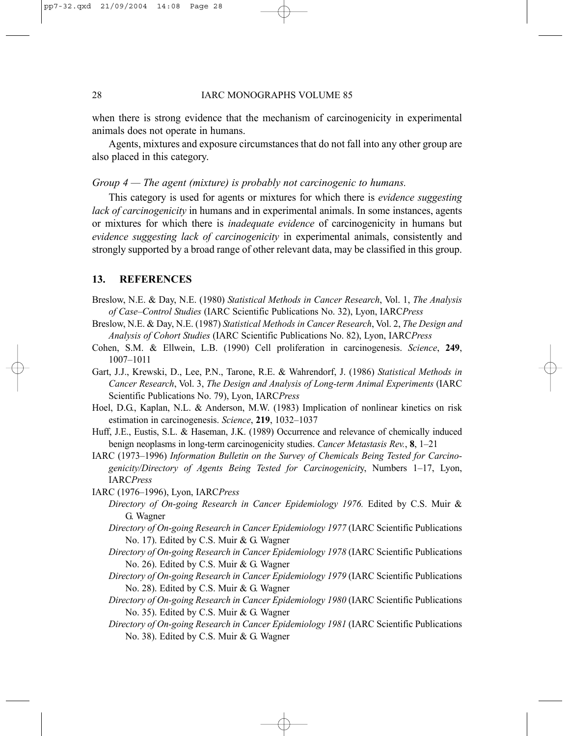when there is strong evidence that the mechanism of carcinogenicity in experimental animals does not operate in humans.

Agents, mixtures and exposure circumstances that do not fall into any other group are also placed in this category.

*Group 4 — The agent (mixture) is probably not carcinogenic to humans.*

This category is used for agents or mixtures for which there is *evidence suggesting lack of carcinogenicity* in humans and in experimental animals. In some instances, agents or mixtures for which there is *inadequate evidence* of carcinogenicity in humans but *evidence suggesting lack of carcinogenicity* in experimental animals, consistently and strongly supported by a broad range of other relevant data, may be classified in this group.

### **13. REFERENCES**

- Breslow, N.E. & Day, N.E. (1980) *Statistical Methods in Cancer Research*, Vol. 1, *The Analysis of Case–Control Studies* (IARC Scientific Publications No. 32), Lyon, IARC*Press*
- Breslow, N.E. & Day, N.E. (1987) *Statistical Methods in Cancer Research*, Vol. 2, *The Design and Analysis of Cohort Studies* (IARC Scientific Publications No. 82), Lyon, IARC*Press*
- Cohen, S.M. & Ellwein, L.B. (1990) Cell proliferation in carcinogenesis. *Science*, **249**, 1007–1011
- Gart, J.J., Krewski, D., Lee, P.N., Tarone, R.E. & Wahrendorf, J. (1986) *Statistical Methods in Cancer Research*, Vol. 3, *The Design and Analysis of Long-term Animal Experiments* (IARC Scientific Publications No. 79), Lyon, IARC*Press*
- Hoel, D.G., Kaplan, N.L. & Anderson, M.W. (1983) Implication of nonlinear kinetics on risk estimation in carcinogenesis. *Science*, **219**, 1032–1037
- Huff, J.E., Eustis, S.L. & Haseman, J.K. (1989) Occurrence and relevance of chemically induced benign neoplasms in long-term carcinogenicity studies. *Cancer Metastasis Rev.*, **8**, 1–21
- IARC (1973–1996) *Information Bulletin on the Survey of Chemicals Being Tested for Carcinogenicity/Directory of Agents Being Tested for Carcinogenicit*y, Numbers 1–17, Lyon, IARC*Press*
- IARC (1976–1996), Lyon, IARC*Press*
	- *Directory of On-going Research in Cancer Epidemiology 1976.* Edited by C.S. Muir & G. Wagner
	- *Directory of On-going Research in Cancer Epidemiology 1977* (IARC Scientific Publications No. 17). Edited by C.S. Muir & G. Wagner
	- *Directory of On-going Research in Cancer Epidemiology 1978* (IARC Scientific Publications No. 26). Edited by C.S. Muir & G. Wagner
	- *Directory of On-going Research in Cancer Epidemiology 1979* (IARC Scientific Publications No. 28). Edited by C.S. Muir & G. Wagner
	- *Directory of On-going Research in Cancer Epidemiology 1980* (IARC Scientific Publications No. 35). Edited by C.S. Muir & G. Wagner
	- *Directory of On-going Research in Cancer Epidemiology 1981* (IARC Scientific Publications No. 38). Edited by C.S. Muir & G. Wagner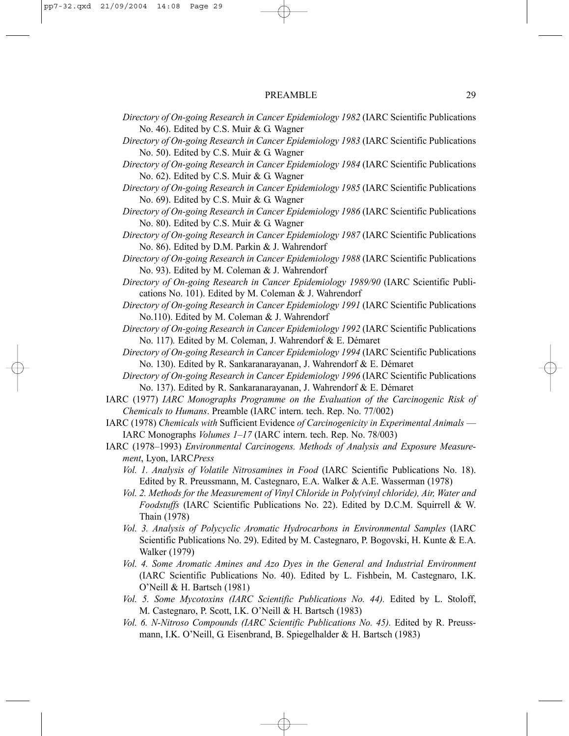- *Directory of On-going Research in Cancer Epidemiology 1982* (IARC Scientific Publications No. 46). Edited by C.S. Muir & G. Wagner
- *Directory of On-going Research in Cancer Epidemiology 1983* (IARC Scientific Publications No. 50). Edited by C.S. Muir & G. Wagner
- *Directory of On-going Research in Cancer Epidemiology 1984* (IARC Scientific Publications No. 62). Edited by C.S. Muir & G. Wagner
- *Directory of On-going Research in Cancer Epidemiology 1985* (IARC Scientific Publications No. 69). Edited by C.S. Muir & G. Wagner
- *Directory of On-going Research in Cancer Epidemiology 1986* (IARC Scientific Publications No. 80). Edited by C.S. Muir & G. Wagner
- *Directory of On-going Research in Cancer Epidemiology 1987* (IARC Scientific Publications No. 86). Edited by D.M. Parkin & J. Wahrendorf
- *Directory of On-going Research in Cancer Epidemiology 1988* (IARC Scientific Publications No. 93). Edited by M. Coleman & J. Wahrendorf
- *Directory of On-going Research in Cancer Epidemiology 1989/90* (IARC Scientific Publications No. 101). Edited by M. Coleman & J. Wahrendorf
- *Directory of On-going Research in Cancer Epidemiology 1991* (IARC Scientific Publications No.110). Edited by M. Coleman & J. Wahrendorf
- *Directory of On-going Research in Cancer Epidemiology 1992* (IARC Scientific Publications No. 117)*.* Edited by M. Coleman, J. Wahrendorf & E. Démaret
- *Directory of On-going Research in Cancer Epidemiology 1994* (IARC Scientific Publications No. 130). Edited by R. Sankaranarayanan, J. Wahrendorf & E. Démaret
- *Directory of On-going Research in Cancer Epidemiology 1996* (IARC Scientific Publications No. 137). Edited by R. Sankaranarayanan, J. Wahrendorf & E. Démaret
- IARC (1977) *IARC Monographs Programme on the Evaluation of the Carcinogenic Risk of Chemicals to Humans*. Preamble (IARC intern. tech. Rep. No. 77/002)
- IARC (1978) *Chemicals with* Sufficient Evidence *of Carcinogenicity in Experimental Animals* IARC Monographs *Volumes 1–17* (IARC intern. tech. Rep. No. 78/003)
- IARC (1978–1993) *Environmental Carcinogens. Methods of Analysis and Exposure Measurement*, Lyon, IARC*Press*
	- *Vol. 1. Analysis of Volatile Nitrosamines in Food* (IARC Scientific Publications No. 18). Edited by R. Preussmann, M. Castegnaro, E.A. Walker & A.E. Wasserman (1978)
	- *Vol. 2. Methods for the Measurement of Vinyl Chloride in Poly(vinyl chloride), Air, Water and Foodstuffs* (IARC Scientific Publications No. 22). Edited by D.C.M. Squirrell & W. Thain (1978)
	- *Vol. 3. Analysis of Polycyclic Aromatic Hydrocarbons in Environmental Samples* (IARC Scientific Publications No. 29). Edited by M. Castegnaro, P. Bogovski, H. Kunte & E.A. Walker (1979)
	- *Vol. 4. Some Aromatic Amines and Azo Dyes in the General and Industrial Environment* (IARC Scientific Publications No. 40). Edited by L. Fishbein, M. Castegnaro, I.K. O'Neill & H. Bartsch (1981)
	- *Vol. 5. Some Mycotoxins (IARC Scientific Publications No. 44).* Edited by L. Stoloff, M. Castegnaro, P. Scott, I.K. O'Neill & H. Bartsch (1983)
	- *Vol. 6. N-Nitroso Compounds (IARC Scientific Publications No. 45).* Edited by R. Preussmann, I.K. O'Neill, G. Eisenbrand, B. Spiegelhalder & H. Bartsch (1983)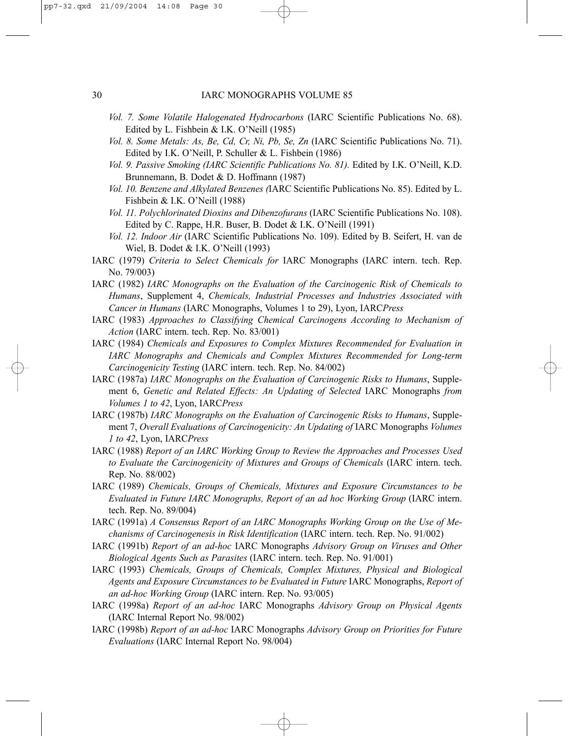- *Vol. 7. Some Volatile Halogenated Hydrocarbons* (IARC Scientific Publications No. 68). Edited by L. Fishbein & I.K. O'Neill (1985)
- *Vol. 8. Some Metals: As, Be, Cd, Cr, Ni, Pb, Se, Zn* (IARC Scientific Publications No. 71). Edited by I.K. O'Neill, P. Schuller & L. Fishbein (1986)
- *Vol. 9. Passive Smoking (IARC Scientific Publications No. 81).* Edited by I.K. O'Neill, K.D. Brunnemann, B. Dodet & D. Hoffmann (1987)
- *Vol. 10. Benzene and Alkylated Benzenes (*IARC Scientific Publications No. 85). Edited by L. Fishbein & I.K. O'Neill (1988)
- *Vol. 11. Polychlorinated Dioxins and Dibenzofurans* (IARC Scientific Publications No. 108). Edited by C. Rappe, H.R. Buser, B. Dodet & I.K. O'Neill (1991)
- *Vol. 12. Indoor Air* (IARC Scientific Publications No. 109). Edited by B. Seifert, H. van de Wiel, B. Dodet & I.K. O'Neill (1993)
- IARC (1979) *Criteria to Select Chemicals for* IARC Monographs (IARC intern. tech. Rep. No. 79/003)
- IARC (1982) *IARC Monographs on the Evaluation of the Carcinogenic Risk of Chemicals to Humans*, Supplement 4, *Chemicals, Industrial Processes and Industries Associated with Cancer in Humans* (IARC Monographs, Volumes 1 to 29), Lyon, IARC*Press*
- IARC (1983) *Approaches to Classifying Chemical Carcinogens According to Mechanism of Action* (IARC intern. tech. Rep. No. 83/001)
- IARC (1984) *Chemicals and Exposures to Complex Mixtures Recommended for Evaluation in IARC Monographs and Chemicals and Complex Mixtures Recommended for Long-term Carcinogenicity Testing* (IARC intern. tech. Rep. No. 84/002)
- IARC (1987a) *IARC Monographs on the Evaluation of Carcinogenic Risks to Humans*, Supplement 6, *Genetic and Related Effects: An Updating of Selected* IARC Monographs *from Volumes 1 to 42*, Lyon, IARC*Press*
- IARC (1987b) *IARC Monographs on the Evaluation of Carcinogenic Risks to Humans*, Supplement 7, *Overall Evaluations of Carcinogenicity: An Updating of* IARC Monographs *Volumes 1 to 42*, Lyon, IARC*Press*
- IARC (1988) *Report of an IARC Working Group to Review the Approaches and Processes Used to Evaluate the Carcinogenicity of Mixtures and Groups of Chemicals* (IARC intern. tech. Rep. No. 88/002)
- IARC (1989) *Chemicals, Groups of Chemicals, Mixtures and Exposure Circumstances to be Evaluated in Future IARC Monographs, Report of an ad hoc Working Group* (IARC intern. tech. Rep. No. 89/004)
- IARC (1991a) *A Consensus Report of an IARC Monographs Working Group on the Use of Mechanisms of Carcinogenesis in Risk Identification* (IARC intern. tech. Rep. No. 91/002)
- IARC (1991b) *Report of an ad-hoc* IARC Monographs *Advisory Group on Viruses and Other Biological Agents Such as Parasites* (IARC intern. tech. Rep. No. 91/001)
- IARC (1993) *Chemicals, Groups of Chemicals, Complex Mixtures, Physical and Biological Agents and Exposure Circumstances to be Evaluated in Future* IARC Monographs, *Report of an ad-hoc Working Group* (IARC intern. Rep. No. 93/005)
- IARC (1998a) *Report of an ad-hoc* IARC Monographs *Advisory Group on Physical Agents* (IARC Internal Report No. 98/002)
- IARC (1998b) *Report of an ad-hoc* IARC Monographs *Advisory Group on Priorities for Future Evaluations* (IARC Internal Report No. 98/004)